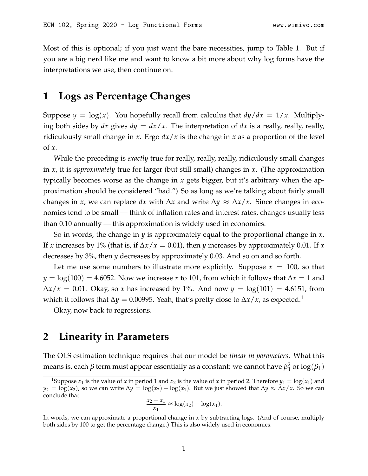Most of this is optional; if you just want the bare necessities, jump to Table [1.](#page-4-0) But if you are a big nerd like me and want to know a bit more about why log forms have the interpretations we use, then continue on.

# **1 Logs as Percentage Changes**

Suppose  $y = \log(x)$ . You hopefully recall from calculus that  $dy/dx = 1/x$ . Multiplying both sides by  $dx$  gives  $dy = dx/x$ . The interpretation of  $dx$  is a really, really, really, ridiculously small change in *x*. Ergo *dx*/*x* is the change in *x* as a proportion of the level of *x*.

While the preceding is *exactly* true for really, really, really, ridiculously small changes in *x*, it is *approximately* true for larger (but still small) changes in *x*. (The approximation typically becomes worse as the change in *x* gets bigger, but it's arbitrary when the approximation should be considered "bad.") So as long as we're talking about fairly small changes in *x*, we can replace *dx* with ∆*x* and write ∆*y* ≈ ∆*x*/*x*. Since changes in economics tend to be small — think of inflation rates and interest rates, changes usually less than 0.10 annually — this approximation is widely used in economics.

So in words, the change in *y* is approximately equal to the proportional change in *x*. If *x* increases by 1% (that is, if ∆*x*/*x* = 0.01), then *y* increases by approximately 0.01. If *x* decreases by 3%, then *y* decreases by approximately 0.03. And so on and so forth.

Let me use some numbers to illustrate more explicitly. Suppose  $x = 100$ , so that *y* = log(100) = 4.6052. Now we increase *x* to 101, from which it follows that ∆*x* = 1 and  $\Delta x/x = 0.01$ . Okay, so *x* has increased by 1%. And now *y* = log(101) = 4.6151, from which it follows that  $\Delta y = 0.00995$ . Yeah, that's pretty close to  $\Delta x / x$ , as expected.<sup>[1](#page-0-0)</sup>

Okay, now back to regressions.

## **2 Linearity in Parameters**

The OLS estimation technique requires that our model be *linear in parameters*. What this means is, each *β* term must appear essentially as a constant: we cannot have *β* 2  $\frac{2}{1}$  or  $\log(\beta_1)$ 

$$
\frac{x_2 - x_1}{x_1} \approx \log(x_2) - \log(x_1).
$$

<span id="page-0-0"></span><sup>&</sup>lt;sup>1</sup>Suppose  $x_1$  is the value of *x* in period 1 and  $x_2$  is the value of *x* in period 2. Therefore  $y_1 = \log(x_1)$  and  $y_2 = \log(x_2)$ , so we can write  $\Delta y = \log(x_2) - \log(x_1)$ . But we just showed that  $\Delta y \approx \Delta x / x$ . So we can conclude that

In words, we can approximate a proportional change in *x* by subtracting logs. (And of course, multiply both sides by 100 to get the percentage change.) This is also widely used in economics.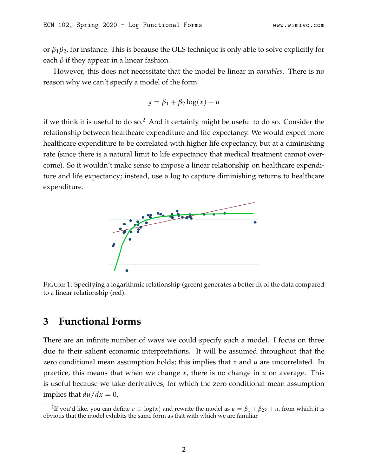or *β*1*β*2, for instance. This is because the OLS technique is only able to solve explicitly for each *β* if they appear in a linear fashion.

However, this does not necessitate that the model be linear in *variables*. There is no reason why we can't specify a model of the form

$$
y = \beta_1 + \beta_2 \log(x) + u
$$

if we think it is useful to do so.<sup>[2](#page-1-0)</sup> And it certainly might be useful to do so. Consider the relationship between healthcare expenditure and life expectancy. We would expect more healthcare expenditure to be correlated with higher life expectancy, but at a diminishing rate (since there is a natural limit to life expectancy that medical treatment cannot overcome). So it wouldn't make sense to impose a linear relationship on healthcare expenditure and life expectancy; instead, use a log to capture diminishing returns to healthcare expenditure.



FIGURE 1: Specifying a logarithmic relationship (green) generates a better fit of the data compared to a linear relationship (red).

## **3 Functional Forms**

There are an infinite number of ways we could specify such a model. I focus on three due to their salient economic interpretations. It will be assumed throughout that the zero conditional mean assumption holds; this implies that *x* and *u* are uncorrelated. In practice, this means that when we change *x*, there is no change in *u* on average. This is useful because we take derivatives, for which the zero conditional mean assumption implies that  $du/dx = 0$ .

<span id="page-1-0"></span><sup>&</sup>lt;sup>2</sup>If you'd like, you can define  $v \equiv \log(x)$  and rewrite the model as  $y = \beta_1 + \beta_2 v + u$ , from which it is obvious that the model exhibits the same form as that with which we are familiar.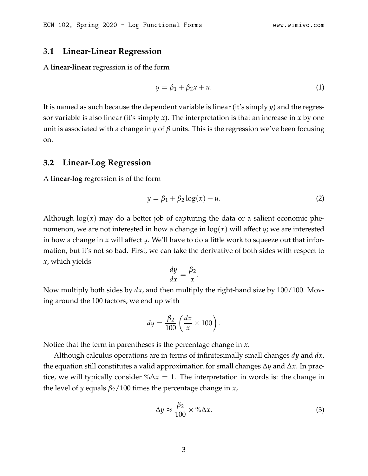#### **3.1 Linear-Linear Regression**

A **linear-linear** regression is of the form

$$
y = \beta_1 + \beta_2 x + u. \tag{1}
$$

It is named as such because the dependent variable is linear (it's simply *y*) and the regressor variable is also linear (it's simply *x*). The interpretation is that an increase in *x* by one unit is associated with a change in *y* of *β* units. This is the regression we've been focusing on.

#### **3.2 Linear-Log Regression**

A **linear-log** regression is of the form

$$
y = \beta_1 + \beta_2 \log(x) + u. \tag{2}
$$

Although  $log(x)$  may do a better job of capturing the data or a salient economic phenomenon, we are not interested in how a change in  $log(x)$  will affect *y*; we are interested in how a change in *x* will affect *y*. We'll have to do a little work to squeeze out that information, but it's not so bad. First, we can take the derivative of both sides with respect to *x*, which yields

$$
\frac{dy}{dx} = \frac{\beta_2}{x}.
$$

Now multiply both sides by *dx*, and then multiply the right-hand size by 100/100. Moving around the 100 factors, we end up with

$$
dy = \frac{\beta_2}{100} \left( \frac{dx}{x} \times 100 \right).
$$

Notice that the term in parentheses is the percentage change in *x*.

Although calculus operations are in terms of infinitesimally small changes *dy* and *dx*, the equation still constitutes a valid approximation for small changes ∆*y* and ∆*x*. In practice, we will typically consider %∆*x* = 1. The interpretation in words is: the change in the level of *y* equals *β*2/100 times the percentage change in *x*,

$$
\Delta y \approx \frac{\beta_2}{100} \times \% \Delta x. \tag{3}
$$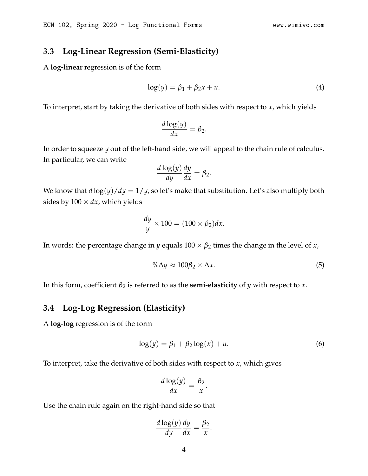#### **3.3 Log-Linear Regression (Semi-Elasticity)**

A **log-linear** regression is of the form

$$
\log(y) = \beta_1 + \beta_2 x + u. \tag{4}
$$

To interpret, start by taking the derivative of both sides with respect to *x*, which yields

$$
\frac{d\log(y)}{dx} = \beta_2.
$$

In order to squeeze *y* out of the left-hand side, we will appeal to the chain rule of calculus. In particular, we can write

$$
\frac{d\log(y)}{dy}\frac{dy}{dx} = \beta_2.
$$

We know that  $d \log(y)/dy = 1/y$ , so let's make that substitution. Let's also multiply both sides by  $100 \times dx$ , which yields

$$
\frac{dy}{y} \times 100 = (100 \times \beta_2) dx.
$$

In words: the percentage change in *y* equals  $100 \times \beta_2$  times the change in the level of *x*,

$$
\% \Delta y \approx 100 \beta_2 \times \Delta x. \tag{5}
$$

In this form, coefficient  $\beta_2$  is referred to as the **semi-elasticity** of *y* with respect to *x*.

#### **3.4 Log-Log Regression (Elasticity)**

A **log-log** regression is of the form

$$
\log(y) = \beta_1 + \beta_2 \log(x) + u. \tag{6}
$$

To interpret, take the derivative of both sides with respect to *x*, which gives

$$
\frac{d\log(y)}{dx} = \frac{\beta_2}{x}.
$$

Use the chain rule again on the right-hand side so that

$$
\frac{d \log(y)}{dy} \frac{dy}{dx} = \frac{\beta_2}{x}.
$$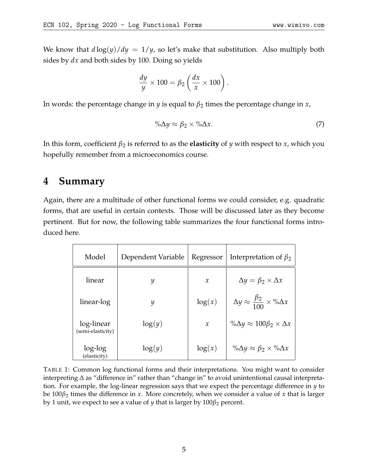$$
\frac{dy}{y} \times 100 = \beta_2 \left( \frac{dx}{x} \times 100 \right).
$$

In words: the percentage change in *y* is equal to  $\beta_2$  times the percentage change in *x*,

$$
\% \Delta y \approx \beta_2 \times \% \Delta x. \tag{7}
$$

In this form, coefficient  $\beta_2$  is referred to as the **elasticity** of *y* with respect to *x*, which you hopefully remember from a microeconomics course.

## **4 Summary**

Again, there are a multitude of other functional forms we could consider, e.g. quadratic forms, that are useful in certain contexts. Those will be discussed later as they become pertinent. But for now, the following table summarizes the four functional forms introduced here.

<span id="page-4-0"></span>

| Model                           | Dependent Variable | Regressor     | Interpretation of $\beta_2$                               |
|---------------------------------|--------------------|---------------|-----------------------------------------------------------|
| linear                          | $\mathcal{Y}$      | $\mathcal{X}$ | $\Delta y = \beta_2 \times \Delta x$                      |
| linear-log                      | $\mathcal{Y}$      | log(x)        | $\Delta y \approx \frac{\beta_2}{100} \times \% \Delta x$ |
| log-linear<br>(semi-elasticity) | log(y)             | $\mathcal{X}$ | $\% \Delta y \approx 100 \beta_2 \times \Delta x$         |
| log-log<br>(elasticity)         | log(y)             | $\log(x)$     | % $\Delta y \approx \beta_2 \times \% \Delta x$           |

TABLE 1: Common log functional forms and their interpretations. You might want to consider interpreting ∆ as "difference in" rather than "change in" to avoid unintentional causal interpretation. For example, the log-linear regression says that we expect the percentage difference in *y* to be 100*β*<sup>2</sup> times the difference in *x*. More concretely, when we consider a value of *x* that is larger by 1 unit, we expect to see a value of *y* that is larger by 100*β*<sup>2</sup> percent.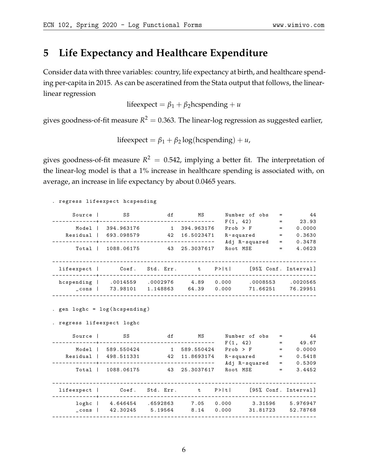# **5 Life Expectancy and Healthcare Expenditure**

Consider data with three variables: country, life expectancy at birth, and healthcare spending per-capita in 2015. As can be asceratined from the Stata output that follows, the linearlinear regression

lifeexpect =  $\beta_1 + \beta_2$ hcspending + *u* 

gives goodness-of-fit measure  $R^2=0.363$ . The linear-log regression as suggested earlier,

lifeexpect =  $\beta_1 + \beta_2 \log(\text{hcspending}) + u$ ,

gives goodness-of-fit measure  $R^2 = 0.542$ , implying a better fit. The interpretation of the linear-log model is that a 1% increase in healthcare spending is associated with, on average, an increase in life expectancy by about 0.0465 years.

. regress lifeexpect hcspending Source | SS df MS Number of obs = 44 - - - - - - - - - - - - -+ - -- - - - - - - - - - - - - - - - - - - - - - - - - - - - - - - - F (1 , 42) = 23.93 Model | 394.963176 1 394.963176 Prob > F = 0.0000 Residual | 693.098579 42 16.5023471 R - squared = 0.3630 - - - - - - - - - - - - -+ -- - - - - - - - - - - - - - - - - - - - - - - - - - - - - - - - - Adj R - squared = 0.3478 Total | 1088.06175 43 25.3037617 Root MSE = 4.0623 -- --- --- --- --- --- --- --- --- --- --- --- --- --- --- --- ---- --- --- --- --- --- --- --- --- -- lifeexpect | Coef. Std. Err. t P>|t| [95% Conf. Interval] - - - - - - - - - - - - -+- - - - - - - - - - - - - - - - - - - - - - - - - - - - - - - - - - - - - - - - - - - - - - - - - - - - - - - - - - - - - - - hcspending | .0014559 .0002976 4.89 0.000 .0008553 .0020565 \_ cons | 73.98101 1.148863 64.39 0.000 71.66251 76.29951 -- --- --- --- --- --- --- --- --- --- --- --- --- --- --- --- ---- --- --- --- --- --- --- --- --- --- . gen loghc = log ( hcspending ) . regress lifeexpect loghc ress life<br>expect loghc<br>Source | SS df MS Number of obs = 44<br> $F(1, 42) = 49.67$ <br> $F(1, 42) = 49.67$ <br> $F(1, 42) = 0.0000$ <br> $F(5418)$ - - - - - - - - - - - - -+ - - - - - - - - - - - - - - - - - - - - - - - - - - - - - - - - - - F (1 , 42) = 49.67 Model | 589.550424 1 589.550424 Prob > F = 0.0000 Residual | 498.511331 42 11.8693174 R - squared = 0.5418 - - - - - - - - - - - - -+ - - - - - - - - - - - - - - - - - - - - - - - - - - - - - - - - - - Adj R - squared = 0.5309 Total | 1088.06175 43 25.3037617 Root MSE = 3.4452 -- --- --- --- --- --- --- --- --- --- --- --- --- --- --- --- ---- --- --- --- --- --- --- --- --- -- lifeexpect | Coef. Std. Err. t P>|t| [95% Conf. Interval] - - - - - - - - - - - - -+ - - - - - - - - - - - - - - - - - - - - - - - - - - - - - - - - - - - - - - - - - - - - - - - - - - - - - - - - - - - - - - - -

-- --- --- --- --- --- --- --- --- --- --- --- --- --- --- --- ---- --- --- --- --- --- --- --- --- ---

loghc | 4.646454 .6592863 7.05 0.000 3.31596 5.976947 \_ cons | 42.30245 5.19564 8.14 0.000 31.81723 52.78768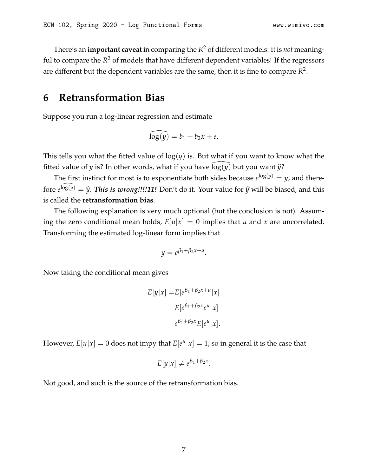There's an **important caveat** in comparing the *R* <sup>2</sup> of different models: it is *not* meaningful to compare the *R* <sup>2</sup> of models that have different dependent variables! If the regressors are different but the dependent variables are the same, then it is fine to compare  $R^2$ .

# **6 Retransformation Bias**

Suppose you run a log-linear regression and estimate

$$
\widehat{\log(y)} = b_1 + b_2 x + e.
$$

This tells you what the fitted value of  $log(y)$  is. But what if you want to know what the fitted value of *y* is? In other words, what if you have  $log(y)$  but you want  $\hat{y}$ ?

The first instinct for most is to exponentiate both sides because  $e^{\log(y)} = y$ , and therefore  $e^{\widehat{\log}(y)} = \widehat{y}$ . *This is wrong!!!!11!* Don't do it. Your value for  $\widehat{y}$  will be biased, and this is called the **retransformation bias**.

The following explanation is very much optional (but the conclusion is not). Assuming the zero conditional mean holds,  $E|u|x| = 0$  implies that *u* and *x* are uncorrelated. Transforming the estimated log-linear form implies that

$$
y=e^{\beta_1+\beta_2x+u}.
$$

Now taking the conditional mean gives

$$
E[y|x] = E[e^{\beta_1 + \beta_2 x + u}|x]
$$

$$
E[e^{\beta_1 + \beta_2 x}e^u|x]
$$

$$
e^{\beta_1 + \beta_2 x}E[e^u|x].
$$

However,  $E[u|x] = 0$  does not impy that  $E[e^u|x] = 1$ , so in general it is the case that

$$
E[y|x] \neq e^{\beta_1 + \beta_2 x}.
$$

Not good, and such is the source of the retransformation bias.